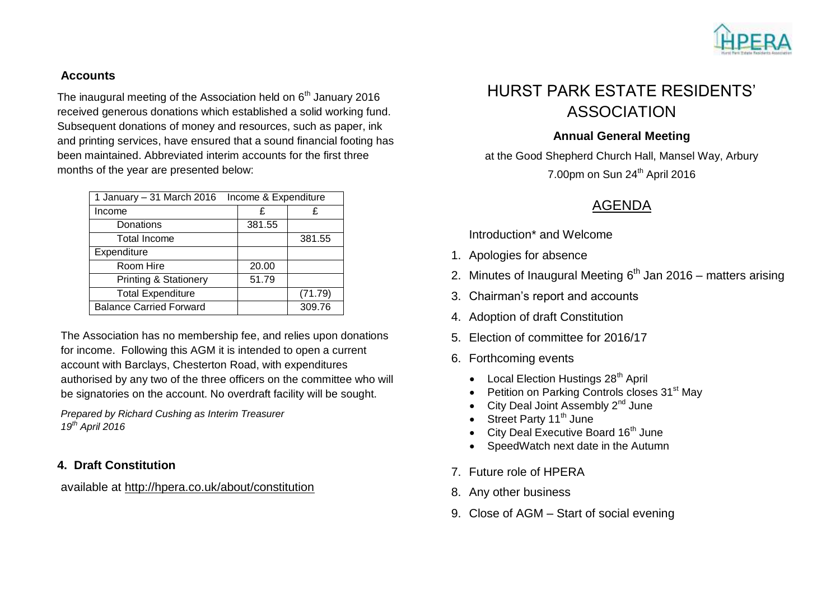

### **Accounts**

The inaugural meeting of the Association held on  $6<sup>th</sup>$  January 2016 received generous donations which established a solid working fund. Subsequent donations of money and resources, such as paper, ink and printing services, have ensured that a sound financial footing has been maintained. Abbreviated interim accounts for the first three months of the year are presented below:

| Income & Expenditure<br>1 January – 31 March 2016 |  |        |         |
|---------------------------------------------------|--|--------|---------|
| Income                                            |  | £      | £       |
| Donations                                         |  | 381.55 |         |
| <b>Total Income</b>                               |  |        | 381.55  |
| Expenditure                                       |  |        |         |
| Room Hire                                         |  | 20.00  |         |
| <b>Printing &amp; Stationery</b>                  |  | 51.79  |         |
| <b>Total Expenditure</b>                          |  |        | (71.79) |
| <b>Balance Carried Forward</b>                    |  |        | 309.76  |

The Association has no membership fee, and relies upon donations for income. Following this AGM it is intended to open a current account with Barclays, Chesterton Road, with expenditures authorised by any two of the three officers on the committee who will be signatories on the account. No overdraft facility will be sought.

*Prepared by Richard Cushing as Interim Treasurer 19th April 2016*

### **4. Draft Constitution**

available at <http://hpera.co.uk/about/constitution>

# HURST PARK ESTATE RESIDENTS' ASSOCIATION

### **Annual General Meeting**

at the Good Shepherd Church Hall, Mansel Way, Arbury 7.00pm on Sun 24<sup>th</sup> April 2016

## AGENDA

Introduction\* and Welcome

- 1. Apologies for absence
- 2. Minutes of Inaugural Meeting 6<sup>th</sup> Jan 2016 matters arising
- 3. Chairman's report and accounts
- 4. Adoption of draft Constitution
- 5. Election of committee for 2016/17
- 6. Forthcoming events
	- Local Election Hustings 28<sup>th</sup> April
	- Petition on Parking Controls closes 31<sup>st</sup> May
	- City Deal Joint Assembly 2<sup>nd</sup> June
	- $\bullet$  Street Party 11<sup>th</sup> June
	- City Deal Executive Board  $16<sup>th</sup>$  June
	- SpeedWatch next date in the Autumn
- 7. Future role of HPERA
- 8. Any other business
- 9. Close of AGM Start of social evening